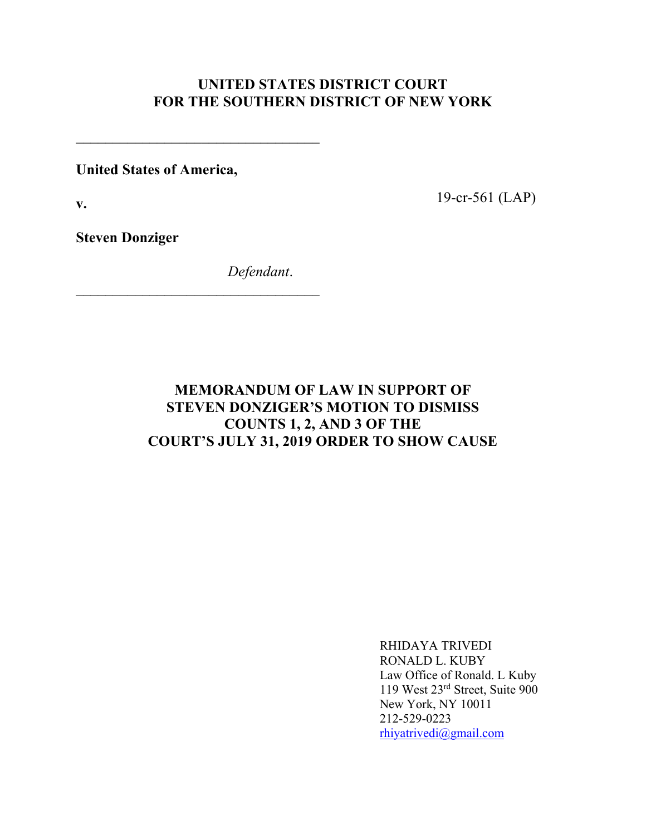## **UNITED STATES DISTRICT COURT FOR THE SOUTHERN DISTRICT OF NEW YORK**

**United States of America,**

 $\mathcal{L}_\text{max}$  and  $\mathcal{L}_\text{max}$  and  $\mathcal{L}_\text{max}$  and  $\mathcal{L}_\text{max}$ 

**v.**

19-cr-561 (LAP)

**Steven Donziger**

*Defendant*.

# **MEMORANDUM OF LAW IN SUPPORT OF STEVEN DONZIGER'S MOTION TO DISMISS COUNTS 1, 2, AND 3 OF THE COURT'S JULY 31, 2019 ORDER TO SHOW CAUSE**

RHIDAYA TRIVEDI RONALD L. KUBY Law Office of Ronald. L Kuby 119 West 23rd Street, Suite 900 New York, NY 10011 212-529-0223 rhiyatrivedi@gmail.com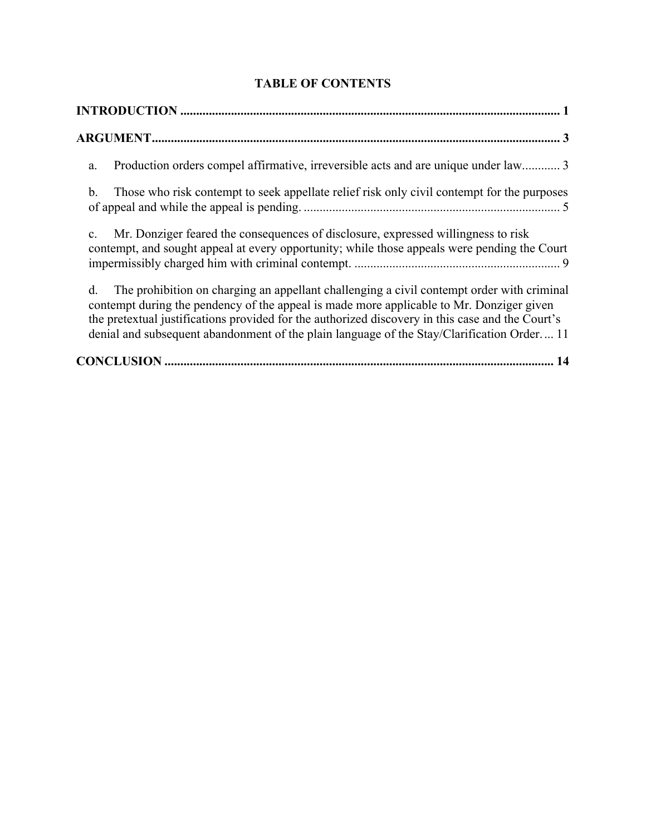| Production orders compel affirmative, irreversible acts and are unique under law 3<br>a.                                                                                                                                                                                                                                                                                                      |
|-----------------------------------------------------------------------------------------------------------------------------------------------------------------------------------------------------------------------------------------------------------------------------------------------------------------------------------------------------------------------------------------------|
| Those who risk contempt to seek appellate relief risk only civil contempt for the purposes<br>b.                                                                                                                                                                                                                                                                                              |
| Mr. Donziger feared the consequences of disclosure, expressed willingness to risk<br>$\mathbf{c}$ .<br>contempt, and sought appeal at every opportunity; while those appeals were pending the Court                                                                                                                                                                                           |
| d.<br>The prohibition on charging an appellant challenging a civil contempt order with criminal<br>contempt during the pendency of the appeal is made more applicable to Mr. Donziger given<br>the pretextual justifications provided for the authorized discovery in this case and the Court's<br>denial and subsequent abandonment of the plain language of the Stay/Clarification Order 11 |
|                                                                                                                                                                                                                                                                                                                                                                                               |

**TABLE OF CONTENTS**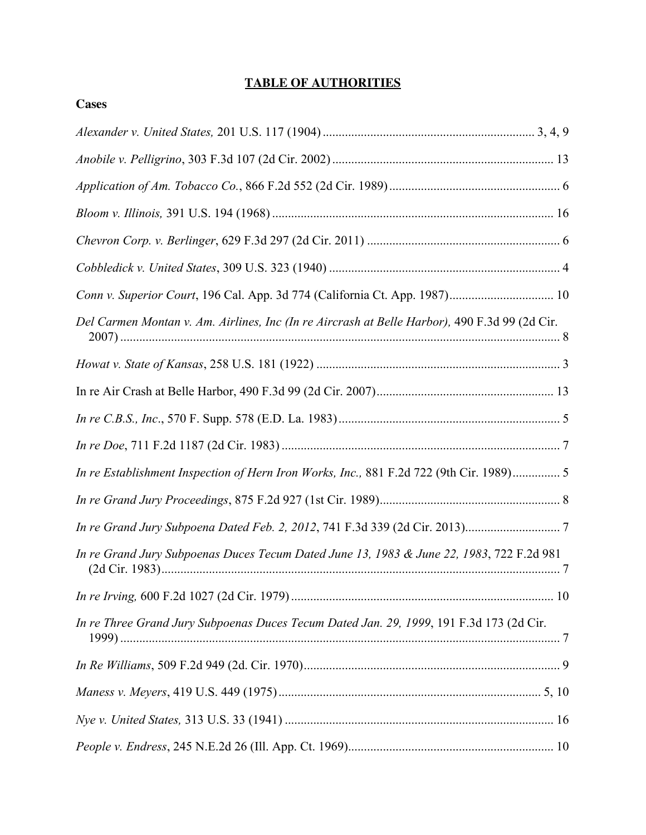## **TABLE OF AUTHORITIES**

| Conn v. Superior Court, 196 Cal. App. 3d 774 (California Ct. App. 1987) 10                    |
|-----------------------------------------------------------------------------------------------|
| Del Carmen Montan v. Am. Airlines, Inc (In re Aircrash at Belle Harbor), 490 F.3d 99 (2d Cir. |
|                                                                                               |
|                                                                                               |
|                                                                                               |
|                                                                                               |
| In re Establishment Inspection of Hern Iron Works, Inc., 881 F.2d 722 (9th Cir. 1989) 5       |
|                                                                                               |
|                                                                                               |
| In re Grand Jury Subpoenas Duces Tecum Dated June 13, 1983 & June 22, 1983, 722 F.2d 981      |
|                                                                                               |
| In re Three Grand Jury Subpoenas Duces Tecum Dated Jan. 29, 1999, 191 F.3d 173 (2d Cir.       |
|                                                                                               |
|                                                                                               |
|                                                                                               |
|                                                                                               |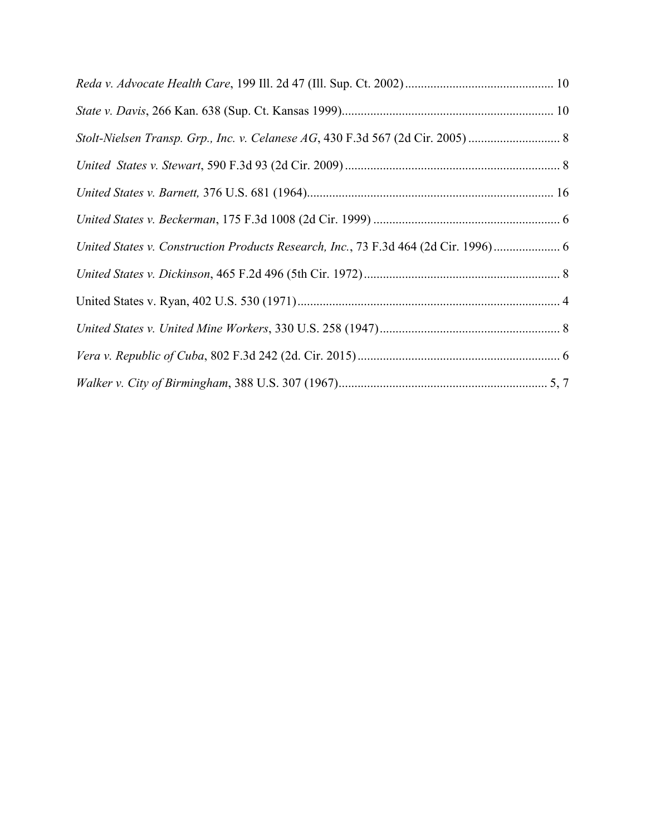| Stolt-Nielsen Transp. Grp., Inc. v. Celanese AG, 430 F.3d 567 (2d Cir. 2005)      |  |
|-----------------------------------------------------------------------------------|--|
|                                                                                   |  |
|                                                                                   |  |
|                                                                                   |  |
| United States v. Construction Products Research, Inc., 73 F.3d 464 (2d Cir. 1996) |  |
|                                                                                   |  |
|                                                                                   |  |
|                                                                                   |  |
|                                                                                   |  |
|                                                                                   |  |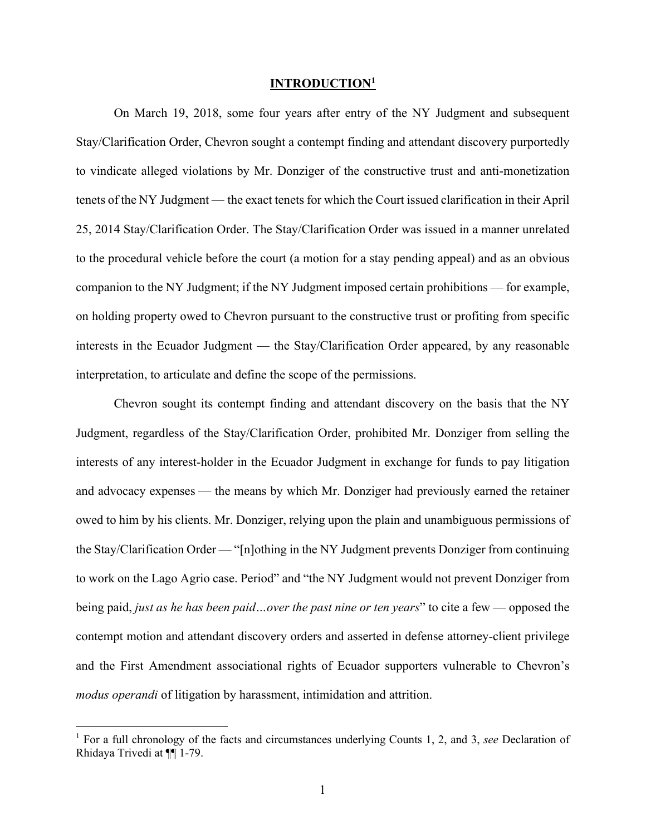#### **INTRODUCTION1**

On March 19, 2018, some four years after entry of the NY Judgment and subsequent Stay/Clarification Order, Chevron sought a contempt finding and attendant discovery purportedly to vindicate alleged violations by Mr. Donziger of the constructive trust and anti-monetization tenets of the NY Judgment — the exact tenets for which the Court issued clarification in their April 25, 2014 Stay/Clarification Order. The Stay/Clarification Order was issued in a manner unrelated to the procedural vehicle before the court (a motion for a stay pending appeal) and as an obvious companion to the NY Judgment; if the NY Judgment imposed certain prohibitions — for example, on holding property owed to Chevron pursuant to the constructive trust or profiting from specific interests in the Ecuador Judgment — the Stay/Clarification Order appeared, by any reasonable interpretation, to articulate and define the scope of the permissions.

Chevron sought its contempt finding and attendant discovery on the basis that the NY Judgment, regardless of the Stay/Clarification Order, prohibited Mr. Donziger from selling the interests of any interest-holder in the Ecuador Judgment in exchange for funds to pay litigation and advocacy expenses — the means by which Mr. Donziger had previously earned the retainer owed to him by his clients. Mr. Donziger, relying upon the plain and unambiguous permissions of the Stay/Clarification Order — "[n]othing in the NY Judgment prevents Donziger from continuing to work on the Lago Agrio case. Period" and "the NY Judgment would not prevent Donziger from being paid, *just as he has been paid…over the past nine or ten years*" to cite a few — opposed the contempt motion and attendant discovery orders and asserted in defense attorney-client privilege and the First Amendment associational rights of Ecuador supporters vulnerable to Chevron's *modus operandi* of litigation by harassment, intimidation and attrition.

<sup>1</sup> For a full chronology of the facts and circumstances underlying Counts 1, 2, and 3, *see* Declaration of Rhidaya Trivedi at ¶¶ 1-79.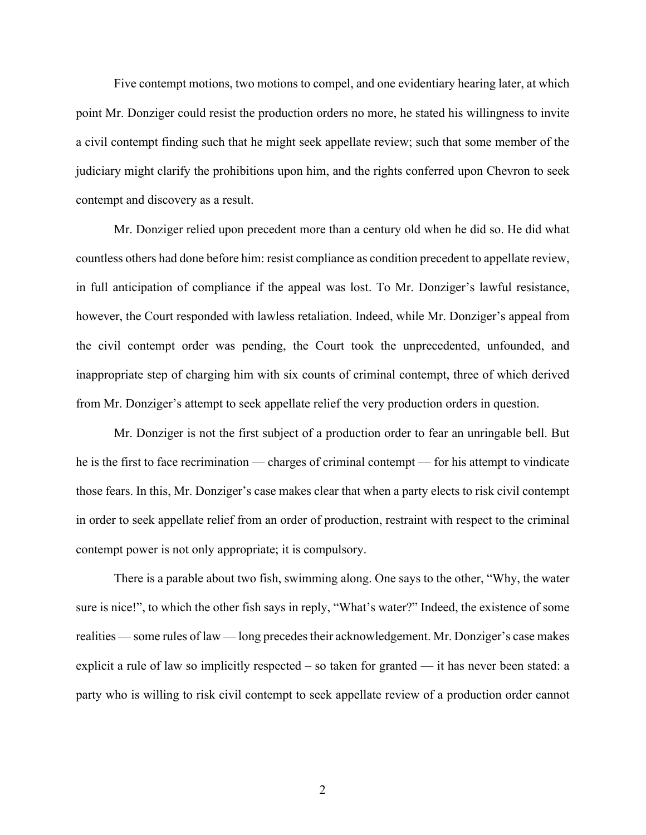Five contempt motions, two motions to compel, and one evidentiary hearing later, at which point Mr. Donziger could resist the production orders no more, he stated his willingness to invite a civil contempt finding such that he might seek appellate review; such that some member of the judiciary might clarify the prohibitions upon him, and the rights conferred upon Chevron to seek contempt and discovery as a result.

Mr. Donziger relied upon precedent more than a century old when he did so. He did what countless others had done before him: resist compliance as condition precedent to appellate review, in full anticipation of compliance if the appeal was lost. To Mr. Donziger's lawful resistance, however, the Court responded with lawless retaliation. Indeed, while Mr. Donziger's appeal from the civil contempt order was pending, the Court took the unprecedented, unfounded, and inappropriate step of charging him with six counts of criminal contempt, three of which derived from Mr. Donziger's attempt to seek appellate relief the very production orders in question.

Mr. Donziger is not the first subject of a production order to fear an unringable bell. But he is the first to face recrimination — charges of criminal contempt — for his attempt to vindicate those fears. In this, Mr. Donziger's case makes clear that when a party elects to risk civil contempt in order to seek appellate relief from an order of production, restraint with respect to the criminal contempt power is not only appropriate; it is compulsory.

There is a parable about two fish, swimming along. One says to the other, "Why, the water sure is nice!", to which the other fish says in reply, "What's water?" Indeed, the existence of some realities — some rules of law — long precedes their acknowledgement. Mr. Donziger's case makes explicit a rule of law so implicitly respected – so taken for granted — it has never been stated: a party who is willing to risk civil contempt to seek appellate review of a production order cannot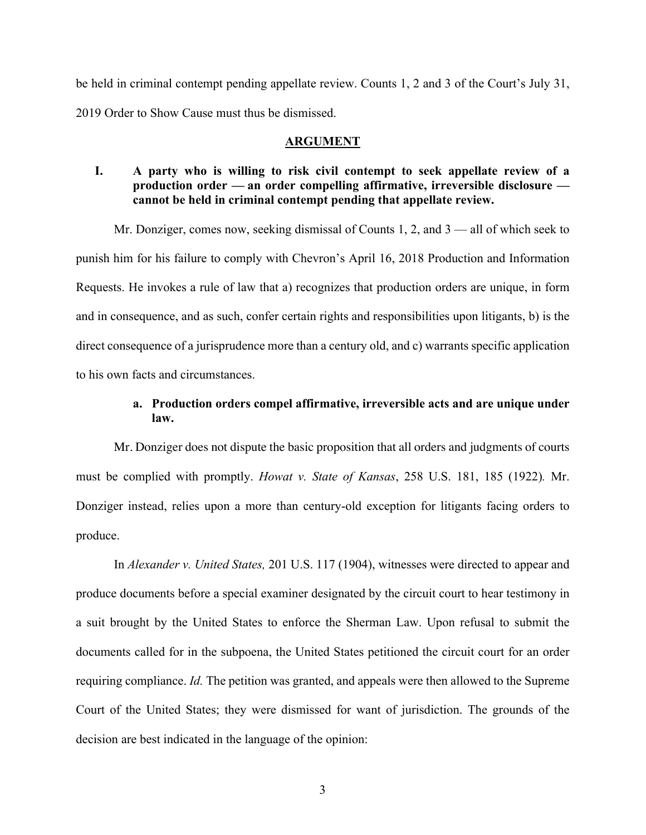be held in criminal contempt pending appellate review. Counts 1, 2 and 3 of the Court's July 31, 2019 Order to Show Cause must thus be dismissed.

#### **ARGUMENT**

### **I. A party who is willing to risk civil contempt to seek appellate review of a production order — an order compelling affirmative, irreversible disclosure cannot be held in criminal contempt pending that appellate review.**

Mr. Donziger, comes now, seeking dismissal of Counts 1, 2, and  $3$  — all of which seek to punish him for his failure to comply with Chevron's April 16, 2018 Production and Information Requests. He invokes a rule of law that a) recognizes that production orders are unique, in form and in consequence, and as such, confer certain rights and responsibilities upon litigants, b) is the direct consequence of a jurisprudence more than a century old, and c) warrants specific application to his own facts and circumstances.

## **a. Production orders compel affirmative, irreversible acts and are unique under law.**

Mr. Donziger does not dispute the basic proposition that all orders and judgments of courts must be complied with promptly. *Howat v. State of Kansas*, 258 U.S. 181, 185 (1922)*.* Mr. Donziger instead, relies upon a more than century-old exception for litigants facing orders to produce.

In *Alexander v. United States,* 201 U.S. 117 (1904), witnesses were directed to appear and produce documents before a special examiner designated by the circuit court to hear testimony in a suit brought by the United States to enforce the Sherman Law. Upon refusal to submit the documents called for in the subpoena, the United States petitioned the circuit court for an order requiring compliance. *Id.* The petition was granted, and appeals were then allowed to the Supreme Court of the United States; they were dismissed for want of jurisdiction. The grounds of the decision are best indicated in the language of the opinion: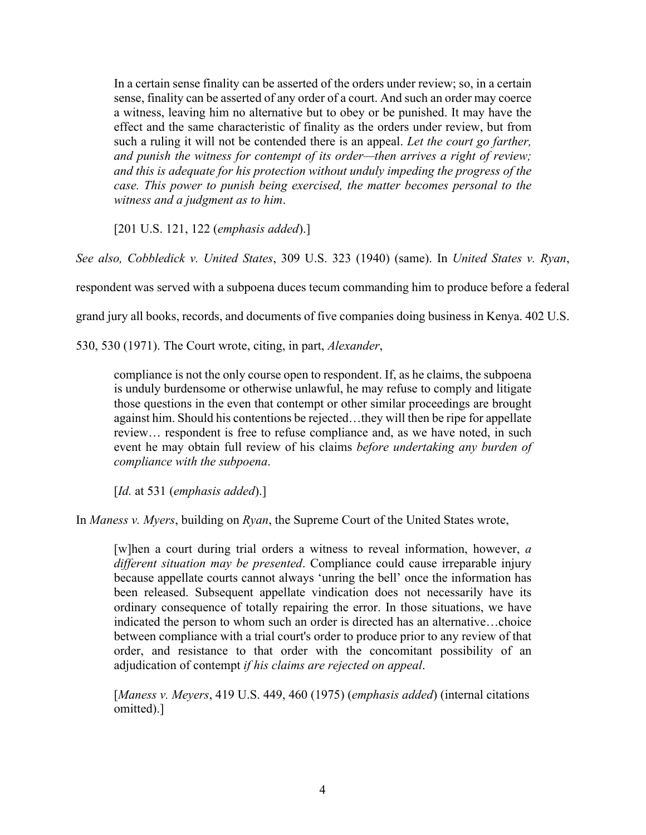In a certain sense finality can be asserted of the orders under review; so, in a certain sense, finality can be asserted of any order of a court. And such an order may coerce a witness, leaving him no alternative but to obey or be punished. It may have the effect and the same characteristic of finality as the orders under review, but from such a ruling it will not be contended there is an appeal. *Let the court go farther, and punish the witness for contempt of its order—then arrives a right of review; and this is adequate for his protection without unduly impeding the progress of the case. This power to punish being exercised, the matter becomes personal to the witness and a judgment as to him*.

[201 U.S. 121, 122 (*emphasis added*).]

*See also, Cobbledick v. United States*, 309 U.S. 323 (1940) (same). In *United States v. Ryan*,

respondent was served with a subpoena duces tecum commanding him to produce before a federal

grand jury all books, records, and documents of five companies doing business in Kenya. 402 U.S.

530, 530 (1971). The Court wrote, citing, in part, *Alexander*,

compliance is not the only course open to respondent. If, as he claims, the subpoena is unduly burdensome or otherwise unlawful, he may refuse to comply and litigate those questions in the even that contempt or other similar proceedings are brought against him. Should his contentions be rejected…they will then be ripe for appellate review… respondent is free to refuse compliance and, as we have noted, in such event he may obtain full review of his claims *before undertaking any burden of compliance with the subpoena*.

[*Id.* at 531 (*emphasis added*).]

In *Maness v. Myers*, building on *Ryan*, the Supreme Court of the United States wrote,

[w]hen a court during trial orders a witness to reveal information, however, *a different situation may be presented*. Compliance could cause irreparable injury because appellate courts cannot always 'unring the bell' once the information has been released. Subsequent appellate vindication does not necessarily have its ordinary consequence of totally repairing the error. In those situations, we have indicated the person to whom such an order is directed has an alternative…choice between compliance with a trial court's order to produce prior to any review of that order, and resistance to that order with the concomitant possibility of an adjudication of contempt *if his claims are rejected on appeal*.

[*Maness v. Meyers*, 419 U.S. 449, 460 (1975) (*emphasis added*) (internal citations omitted).]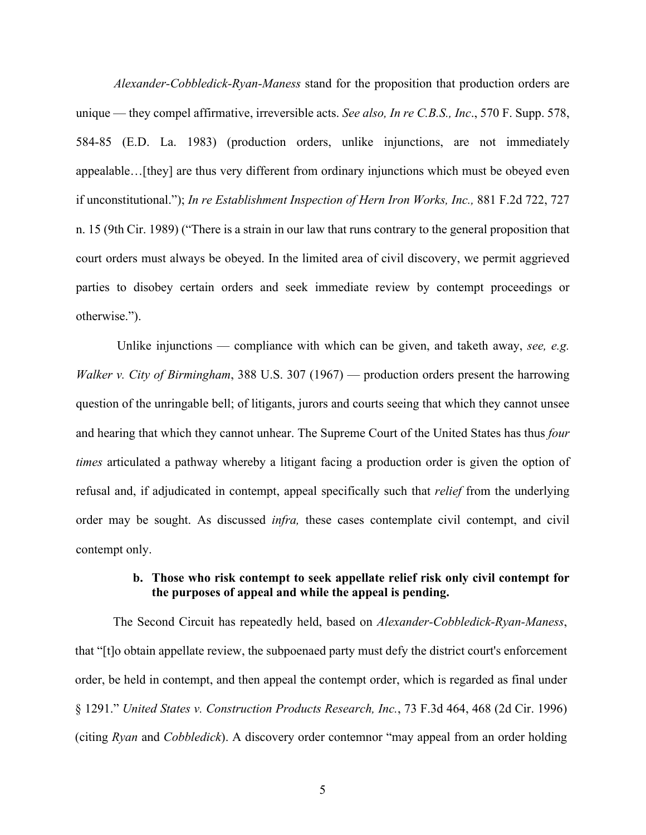*Alexander-Cobbledick-Ryan-Maness* stand for the proposition that production orders are unique — they compel affirmative, irreversible acts. *See also, In re C.B.S., Inc*., 570 F. Supp. 578, 584-85 (E.D. La. 1983) (production orders, unlike injunctions, are not immediately appealable…[they] are thus very different from ordinary injunctions which must be obeyed even if unconstitutional."); *In re Establishment Inspection of Hern Iron Works, Inc.,* 881 F.2d 722, 727 n. 15 (9th Cir. 1989) ("There is a strain in our law that runs contrary to the general proposition that court orders must always be obeyed. In the limited area of civil discovery, we permit aggrieved parties to disobey certain orders and seek immediate review by contempt proceedings or otherwise.").

Unlike injunctions — compliance with which can be given, and taketh away, *see, e.g. Walker v. City of Birmingham*, 388 U.S. 307 (1967) — production orders present the harrowing question of the unringable bell; of litigants, jurors and courts seeing that which they cannot unsee and hearing that which they cannot unhear. The Supreme Court of the United States has thus *four times* articulated a pathway whereby a litigant facing a production order is given the option of refusal and, if adjudicated in contempt, appeal specifically such that *relief* from the underlying order may be sought. As discussed *infra,* these cases contemplate civil contempt, and civil contempt only.

#### **b. Those who risk contempt to seek appellate relief risk only civil contempt for the purposes of appeal and while the appeal is pending.**

The Second Circuit has repeatedly held, based on *Alexander-Cobbledick-Ryan-Maness*, that "[t]o obtain appellate review, the subpoenaed party must defy the district court's enforcement order, be held in contempt, and then appeal the contempt order, which is regarded as final under § 1291." *United States v. Construction Products Research, Inc.*, 73 F.3d 464, 468 (2d Cir. 1996) (citing *Ryan* and *Cobbledick*). A discovery order contemnor "may appeal from an order holding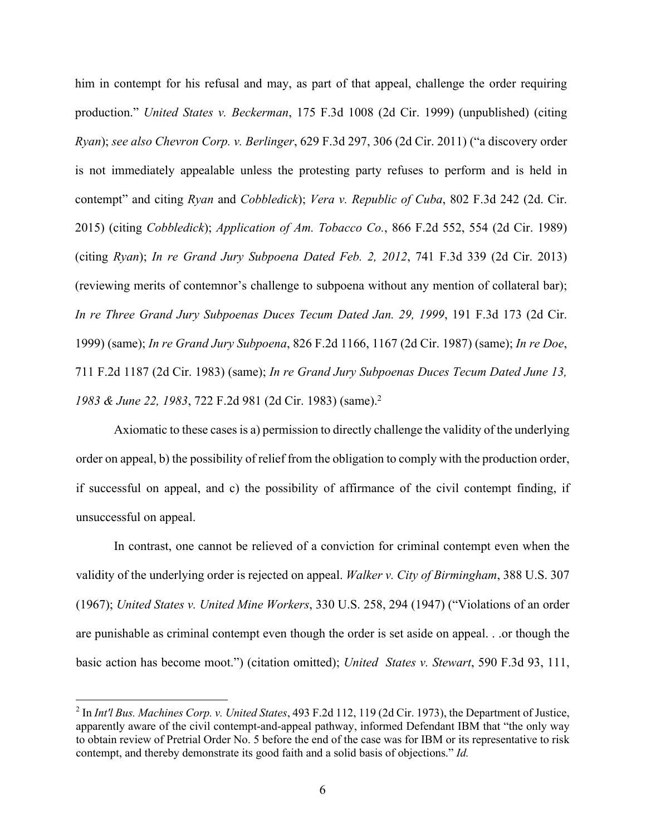him in contempt for his refusal and may, as part of that appeal, challenge the order requiring production." *United States v. Beckerman*, 175 F.3d 1008 (2d Cir. 1999) (unpublished) (citing *Ryan*); *see also Chevron Corp. v. Berlinger*, 629 F.3d 297, 306 (2d Cir. 2011) ("a discovery order is not immediately appealable unless the protesting party refuses to perform and is held in contempt" and citing *Ryan* and *Cobbledick*); *Vera v. Republic of Cuba*, 802 F.3d 242 (2d. Cir. 2015) (citing *Cobbledick*); *Application of Am. Tobacco Co.*, 866 F.2d 552, 554 (2d Cir. 1989) (citing *Ryan*); *In re Grand Jury Subpoena Dated Feb. 2, 2012*, 741 F.3d 339 (2d Cir. 2013) (reviewing merits of contemnor's challenge to subpoena without any mention of collateral bar); *In re Three Grand Jury Subpoenas Duces Tecum Dated Jan. 29, 1999*, 191 F.3d 173 (2d Cir. 1999) (same); *In re Grand Jury Subpoena*, 826 F.2d 1166, 1167 (2d Cir. 1987) (same); *In re Doe*, 711 F.2d 1187 (2d Cir. 1983) (same); *In re Grand Jury Subpoenas Duces Tecum Dated June 13, 1983 & June 22, 1983*, 722 F.2d 981 (2d Cir. 1983) (same).2

Axiomatic to these cases is a) permission to directly challenge the validity of the underlying order on appeal, b) the possibility of relief from the obligation to comply with the production order, if successful on appeal, and c) the possibility of affirmance of the civil contempt finding, if unsuccessful on appeal.

In contrast, one cannot be relieved of a conviction for criminal contempt even when the validity of the underlying order is rejected on appeal. *Walker v. City of Birmingham*, 388 U.S. 307 (1967); *United States v. United Mine Workers*, 330 U.S. 258, 294 (1947) ("Violations of an order are punishable as criminal contempt even though the order is set aside on appeal. . .or though the basic action has become moot.") (citation omitted); *United States v. Stewart*, 590 F.3d 93, 111,

<sup>2</sup> In *Int'l Bus. Machines Corp. v. United States*, 493 F.2d 112, 119 (2d Cir. 1973), the Department of Justice, apparently aware of the civil contempt-and-appeal pathway, informed Defendant IBM that "the only way to obtain review of Pretrial Order No. 5 before the end of the case was for IBM or its representative to risk contempt, and thereby demonstrate its good faith and a solid basis of objections." *Id.*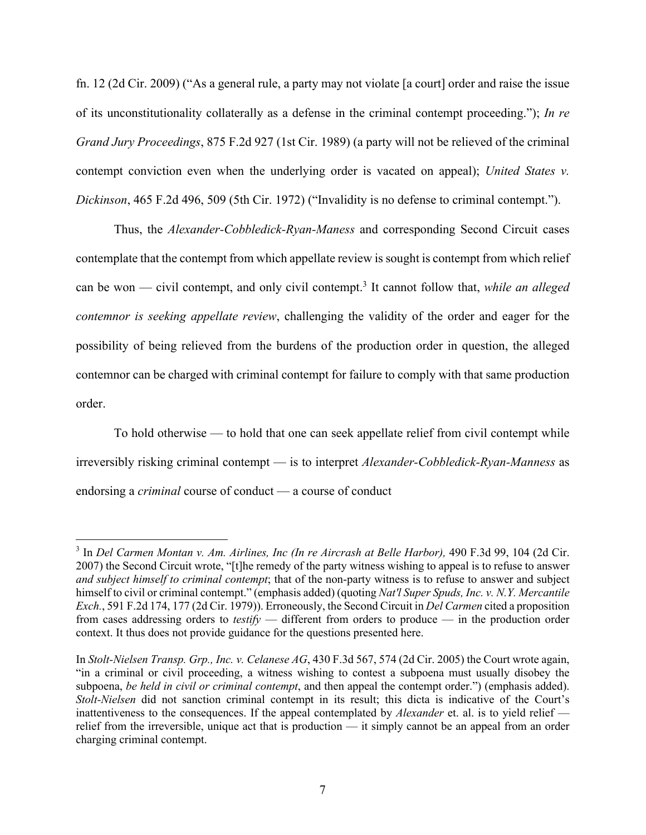fn. 12 (2d Cir. 2009) ("As a general rule, a party may not violate [a court] order and raise the issue of its unconstitutionality collaterally as a defense in the criminal contempt proceeding."); *In re Grand Jury Proceedings*, 875 F.2d 927 (1st Cir. 1989) (a party will not be relieved of the criminal contempt conviction even when the underlying order is vacated on appeal); *United States v. Dickinson*, 465 F.2d 496, 509 (5th Cir. 1972) ("Invalidity is no defense to criminal contempt.").

Thus, the *Alexander-Cobbledick-Ryan-Maness* and corresponding Second Circuit cases contemplate that the contempt from which appellate review is sought is contempt from which relief can be won — civil contempt, and only civil contempt.3 It cannot follow that, *while an alleged contemnor is seeking appellate review*, challenging the validity of the order and eager for the possibility of being relieved from the burdens of the production order in question, the alleged contemnor can be charged with criminal contempt for failure to comply with that same production order.

To hold otherwise — to hold that one can seek appellate relief from civil contempt while irreversibly risking criminal contempt — is to interpret *Alexander-Cobbledick-Ryan-Manness* as endorsing a *criminal* course of conduct — a course of conduct

<sup>3</sup> In *Del Carmen Montan v. Am. Airlines, Inc (In re Aircrash at Belle Harbor),* 490 F.3d 99, 104 (2d Cir. 2007) the Second Circuit wrote, "[t]he remedy of the party witness wishing to appeal is to refuse to answer *and subject himself to criminal contempt*; that of the non-party witness is to refuse to answer and subject himself to civil or criminal contempt." (emphasis added) (quoting *Nat'l Super Spuds, Inc. v. N.Y. Mercantile Exch.*, 591 F.2d 174, 177 (2d Cir. 1979)). Erroneously, the Second Circuit in *Del Carmen* cited a proposition from cases addressing orders to *testify* — different from orders to produce — in the production order context. It thus does not provide guidance for the questions presented here.

In *Stolt-Nielsen Transp. Grp., Inc. v. Celanese AG*, 430 F.3d 567, 574 (2d Cir. 2005) the Court wrote again, "in a criminal or civil proceeding, a witness wishing to contest a subpoena must usually disobey the subpoena, *be held in civil or criminal contempt*, and then appeal the contempt order.") (emphasis added). *Stolt-Nielsen* did not sanction criminal contempt in its result; this dicta is indicative of the Court's inattentiveness to the consequences. If the appeal contemplated by *Alexander* et. al. is to yield relief relief from the irreversible, unique act that is production — it simply cannot be an appeal from an order charging criminal contempt.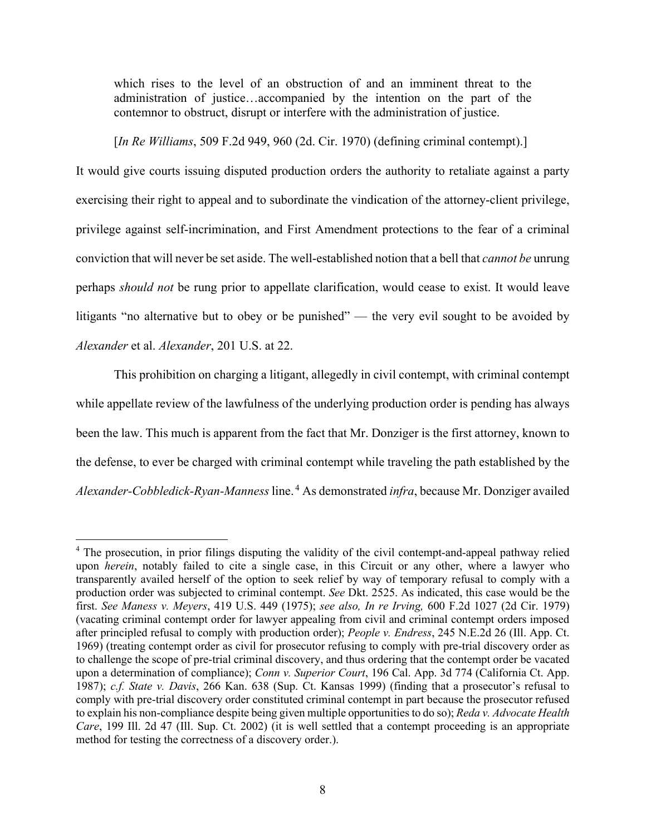which rises to the level of an obstruction of and an imminent threat to the administration of justice…accompanied by the intention on the part of the contemnor to obstruct, disrupt or interfere with the administration of justice.

[*In Re Williams*, 509 F.2d 949, 960 (2d. Cir. 1970) (defining criminal contempt).]

It would give courts issuing disputed production orders the authority to retaliate against a party exercising their right to appeal and to subordinate the vindication of the attorney-client privilege, privilege against self-incrimination, and First Amendment protections to the fear of a criminal conviction that will never be set aside. The well-established notion that a bell that *cannot be* unrung perhaps *should not* be rung prior to appellate clarification, would cease to exist. It would leave litigants "no alternative but to obey or be punished" — the very evil sought to be avoided by *Alexander* et al. *Alexander*, 201 U.S. at 22.

This prohibition on charging a litigant, allegedly in civil contempt, with criminal contempt while appellate review of the lawfulness of the underlying production order is pending has always been the law. This much is apparent from the fact that Mr. Donziger is the first attorney, known to the defense, to ever be charged with criminal contempt while traveling the path established by the *Alexander-Cobbledick-Ryan-Manness* line. <sup>4</sup> As demonstrated *infra*, because Mr. Donziger availed

<sup>&</sup>lt;sup>4</sup> The prosecution, in prior filings disputing the validity of the civil contempt-and-appeal pathway relied upon *herein*, notably failed to cite a single case, in this Circuit or any other, where a lawyer who transparently availed herself of the option to seek relief by way of temporary refusal to comply with a production order was subjected to criminal contempt. *See* Dkt. 2525. As indicated, this case would be the first. *See Maness v. Meyers*, 419 U.S. 449 (1975); *see also, In re Irving,* 600 F.2d 1027 (2d Cir. 1979) (vacating criminal contempt order for lawyer appealing from civil and criminal contempt orders imposed after principled refusal to comply with production order); *People v. Endress*, 245 N.E.2d 26 (Ill. App. Ct. 1969) (treating contempt order as civil for prosecutor refusing to comply with pre-trial discovery order as to challenge the scope of pre-trial criminal discovery, and thus ordering that the contempt order be vacated upon a determination of compliance); *Conn v. Superior Court*, 196 Cal. App. 3d 774 (California Ct. App. 1987); *c.f. State v. Davis*, 266 Kan. 638 (Sup. Ct. Kansas 1999) (finding that a prosecutor's refusal to comply with pre-trial discovery order constituted criminal contempt in part because the prosecutor refused to explain his non-compliance despite being given multiple opportunities to do so); *Reda v. Advocate Health Care*, 199 Ill. 2d 47 (Ill. Sup. Ct. 2002) (it is well settled that a contempt proceeding is an appropriate method for testing the correctness of a discovery order.).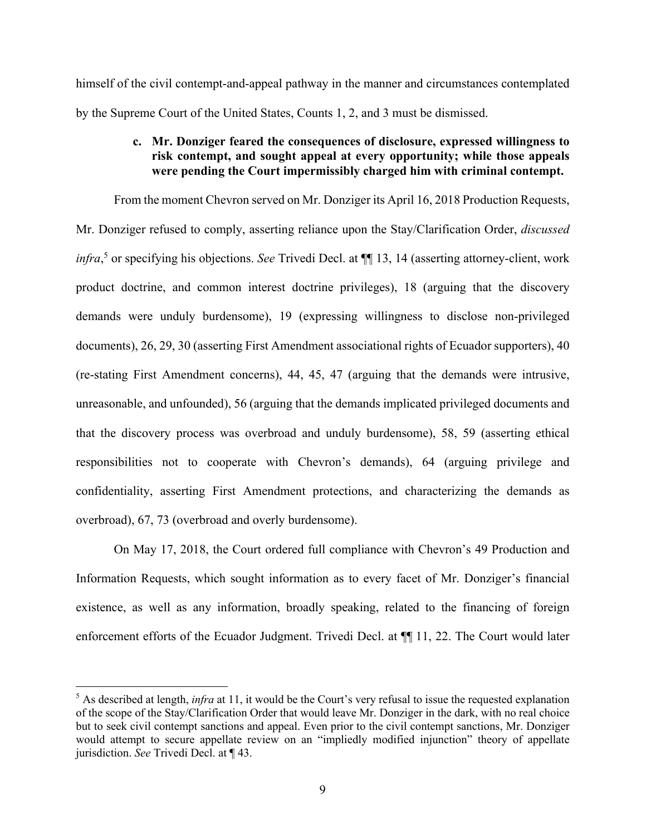himself of the civil contempt-and-appeal pathway in the manner and circumstances contemplated by the Supreme Court of the United States, Counts 1, 2, and 3 must be dismissed.

## **c. Mr. Donziger feared the consequences of disclosure, expressed willingness to risk contempt, and sought appeal at every opportunity; while those appeals were pending the Court impermissibly charged him with criminal contempt.**

From the moment Chevron served on Mr. Donziger its April 16, 2018 Production Requests, Mr. Donziger refused to comply, asserting reliance upon the Stay/Clarification Order, *discussed infra*, <sup>5</sup> or specifying his objections. *See* Trivedi Decl. at ¶¶ 13, 14 (asserting attorney-client, work product doctrine, and common interest doctrine privileges), 18 (arguing that the discovery demands were unduly burdensome), 19 (expressing willingness to disclose non-privileged documents), 26, 29, 30 (asserting First Amendment associational rights of Ecuador supporters), 40 (re-stating First Amendment concerns), 44, 45, 47 (arguing that the demands were intrusive, unreasonable, and unfounded), 56 (arguing that the demands implicated privileged documents and that the discovery process was overbroad and unduly burdensome), 58, 59 (asserting ethical responsibilities not to cooperate with Chevron's demands), 64 (arguing privilege and confidentiality, asserting First Amendment protections, and characterizing the demands as overbroad), 67, 73 (overbroad and overly burdensome).

On May 17, 2018, the Court ordered full compliance with Chevron's 49 Production and Information Requests, which sought information as to every facet of Mr. Donziger's financial existence, as well as any information, broadly speaking, related to the financing of foreign enforcement efforts of the Ecuador Judgment. Trivedi Decl. at  $\P$  11, 22. The Court would later

<sup>&</sup>lt;sup>5</sup> As described at length, *infra* at 11, it would be the Court's very refusal to issue the requested explanation of the scope of the Stay/Clarification Order that would leave Mr. Donziger in the dark, with no real choice but to seek civil contempt sanctions and appeal. Even prior to the civil contempt sanctions, Mr. Donziger would attempt to secure appellate review on an "impliedly modified injunction" theory of appellate jurisdiction. *See* Trivedi Decl. at ¶ 43.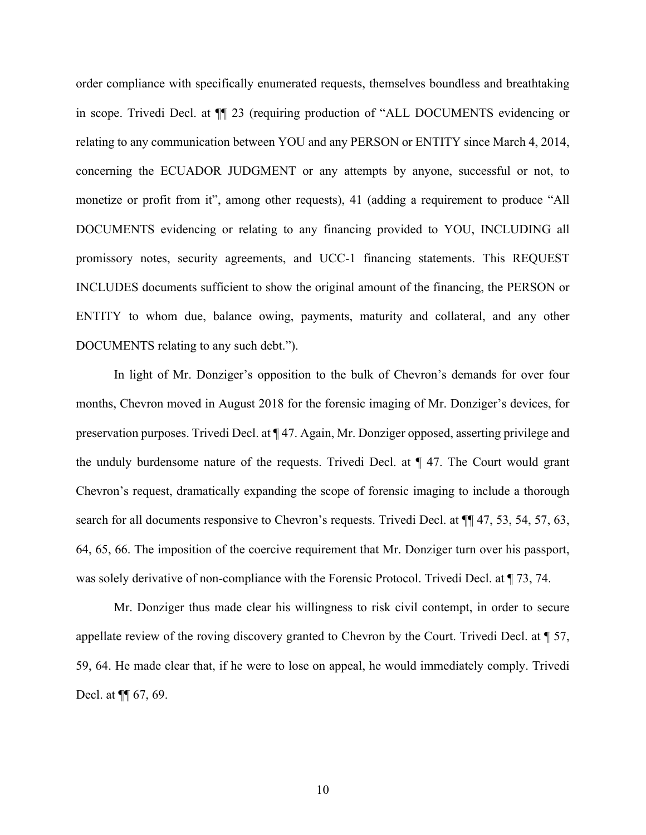order compliance with specifically enumerated requests, themselves boundless and breathtaking in scope. Trivedi Decl. at ¶¶ 23 (requiring production of "ALL DOCUMENTS evidencing or relating to any communication between YOU and any PERSON or ENTITY since March 4, 2014, concerning the ECUADOR JUDGMENT or any attempts by anyone, successful or not, to monetize or profit from it", among other requests), 41 (adding a requirement to produce "All DOCUMENTS evidencing or relating to any financing provided to YOU, INCLUDING all promissory notes, security agreements, and UCC-1 financing statements. This REQUEST INCLUDES documents sufficient to show the original amount of the financing, the PERSON or ENTITY to whom due, balance owing, payments, maturity and collateral, and any other DOCUMENTS relating to any such debt.").

In light of Mr. Donziger's opposition to the bulk of Chevron's demands for over four months, Chevron moved in August 2018 for the forensic imaging of Mr. Donziger's devices, for preservation purposes. Trivedi Decl. at ¶ 47. Again, Mr. Donziger opposed, asserting privilege and the unduly burdensome nature of the requests. Trivedi Decl. at ¶ 47. The Court would grant Chevron's request, dramatically expanding the scope of forensic imaging to include a thorough search for all documents responsive to Chevron's requests. Trivedi Decl. at ¶¶ 47, 53, 54, 57, 63, 64, 65, 66. The imposition of the coercive requirement that Mr. Donziger turn over his passport, was solely derivative of non-compliance with the Forensic Protocol. Trivedi Decl. at  $\P$  73, 74.

Mr. Donziger thus made clear his willingness to risk civil contempt, in order to secure appellate review of the roving discovery granted to Chevron by the Court. Trivedi Decl. at ¶ 57, 59, 64. He made clear that, if he were to lose on appeal, he would immediately comply. Trivedi Decl. at ¶¶ 67, 69.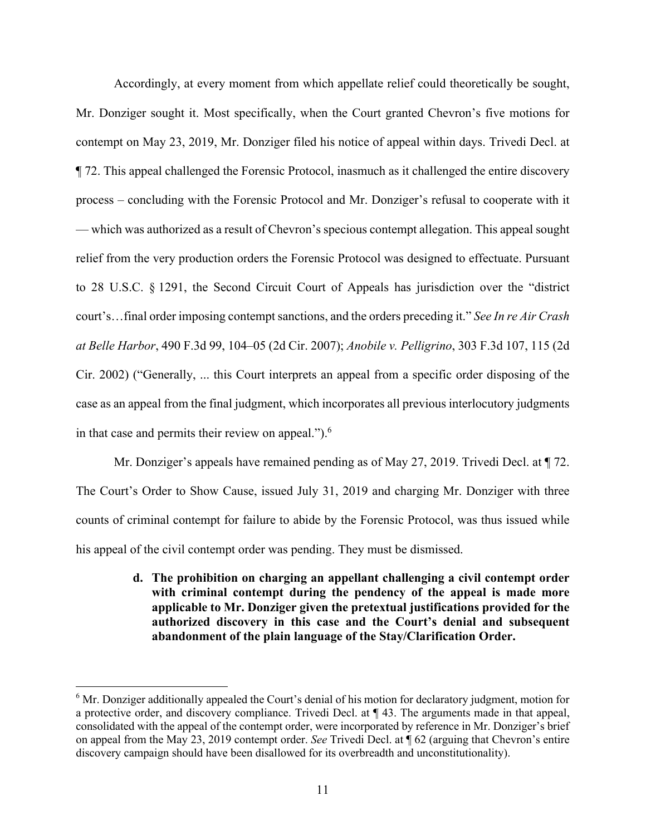Accordingly, at every moment from which appellate relief could theoretically be sought, Mr. Donziger sought it. Most specifically, when the Court granted Chevron's five motions for contempt on May 23, 2019, Mr. Donziger filed his notice of appeal within days. Trivedi Decl. at ¶ 72. This appeal challenged the Forensic Protocol, inasmuch as it challenged the entire discovery process – concluding with the Forensic Protocol and Mr. Donziger's refusal to cooperate with it — which was authorized as a result of Chevron's specious contempt allegation. This appeal sought relief from the very production orders the Forensic Protocol was designed to effectuate. Pursuant to 28 U.S.C. § 1291, the Second Circuit Court of Appeals has jurisdiction over the "district court's…final order imposing contempt sanctions, and the orders preceding it." *See In re Air Crash at Belle Harbor*, 490 F.3d 99, 104–05 (2d Cir. 2007); *Anobile v. Pelligrino*, 303 F.3d 107, 115 (2d Cir. 2002) ("Generally, ... this Court interprets an appeal from a specific order disposing of the case as an appeal from the final judgment, which incorporates all previous interlocutory judgments in that case and permits their review on appeal.").<sup>6</sup>

Mr. Donziger's appeals have remained pending as of May 27, 2019. Trivedi Decl. at  $\P$  72. The Court's Order to Show Cause, issued July 31, 2019 and charging Mr. Donziger with three counts of criminal contempt for failure to abide by the Forensic Protocol, was thus issued while his appeal of the civil contempt order was pending. They must be dismissed.

> **d. The prohibition on charging an appellant challenging a civil contempt order with criminal contempt during the pendency of the appeal is made more applicable to Mr. Donziger given the pretextual justifications provided for the authorized discovery in this case and the Court's denial and subsequent abandonment of the plain language of the Stay/Clarification Order.**

 $6$  Mr. Donziger additionally appealed the Court's denial of his motion for declaratory judgment, motion for a protective order, and discovery compliance. Trivedi Decl. at ¶ 43. The arguments made in that appeal, consolidated with the appeal of the contempt order, were incorporated by reference in Mr. Donziger's brief on appeal from the May 23, 2019 contempt order. *See* Trivedi Decl. at ¶ 62 (arguing that Chevron's entire discovery campaign should have been disallowed for its overbreadth and unconstitutionality).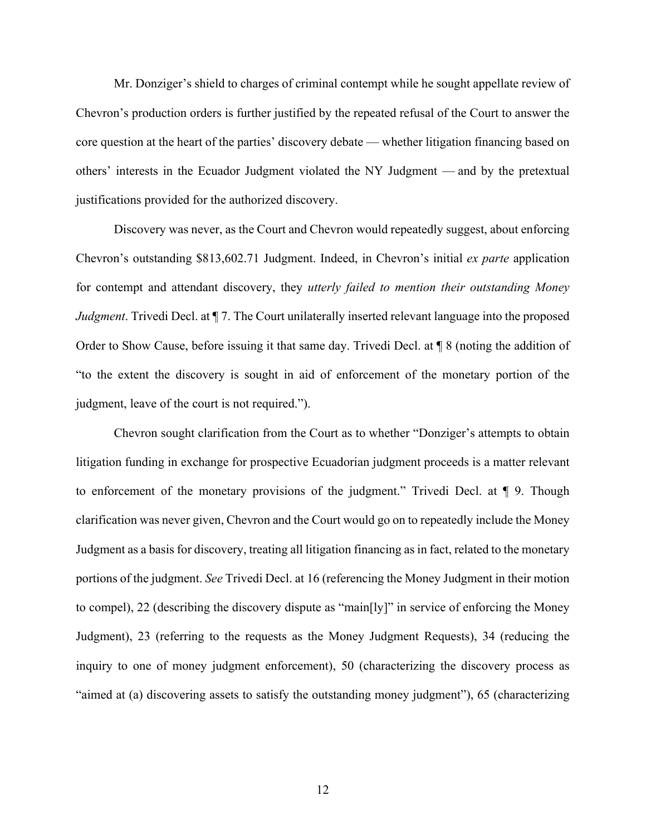Mr. Donziger's shield to charges of criminal contempt while he sought appellate review of Chevron's production orders is further justified by the repeated refusal of the Court to answer the core question at the heart of the parties' discovery debate — whether litigation financing based on others' interests in the Ecuador Judgment violated the NY Judgment — and by the pretextual justifications provided for the authorized discovery.

Discovery was never, as the Court and Chevron would repeatedly suggest, about enforcing Chevron's outstanding \$813,602.71 Judgment. Indeed, in Chevron's initial *ex parte* application for contempt and attendant discovery, they *utterly failed to mention their outstanding Money Judgment*. Trivedi Decl. at  $\P$  7. The Court unilaterally inserted relevant language into the proposed Order to Show Cause, before issuing it that same day. Trivedi Decl. at ¶ 8 (noting the addition of "to the extent the discovery is sought in aid of enforcement of the monetary portion of the judgment, leave of the court is not required.").

Chevron sought clarification from the Court as to whether "Donziger's attempts to obtain litigation funding in exchange for prospective Ecuadorian judgment proceeds is a matter relevant to enforcement of the monetary provisions of the judgment." Trivedi Decl. at ¶ 9. Though clarification was never given, Chevron and the Court would go on to repeatedly include the Money Judgment as a basis for discovery, treating all litigation financing as in fact, related to the monetary portions of the judgment. *See* Trivedi Decl. at 16 (referencing the Money Judgment in their motion to compel), 22 (describing the discovery dispute as "main[ly]" in service of enforcing the Money Judgment), 23 (referring to the requests as the Money Judgment Requests), 34 (reducing the inquiry to one of money judgment enforcement), 50 (characterizing the discovery process as "aimed at (a) discovering assets to satisfy the outstanding money judgment"), 65 (characterizing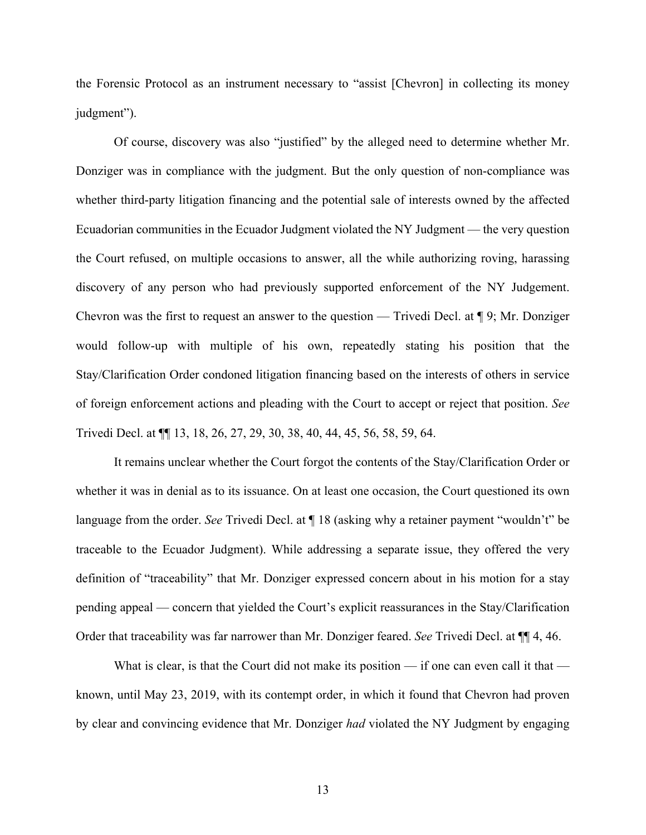the Forensic Protocol as an instrument necessary to "assist [Chevron] in collecting its money judgment").

Of course, discovery was also "justified" by the alleged need to determine whether Mr. Donziger was in compliance with the judgment. But the only question of non-compliance was whether third-party litigation financing and the potential sale of interests owned by the affected Ecuadorian communities in the Ecuador Judgment violated the NY Judgment — the very question the Court refused, on multiple occasions to answer, all the while authorizing roving, harassing discovery of any person who had previously supported enforcement of the NY Judgement. Chevron was the first to request an answer to the question — Trivedi Decl. at ¶ 9; Mr. Donziger would follow-up with multiple of his own, repeatedly stating his position that the Stay/Clarification Order condoned litigation financing based on the interests of others in service of foreign enforcement actions and pleading with the Court to accept or reject that position. *See*  Trivedi Decl. at ¶¶ 13, 18, 26, 27, 29, 30, 38, 40, 44, 45, 56, 58, 59, 64.

It remains unclear whether the Court forgot the contents of the Stay/Clarification Order or whether it was in denial as to its issuance. On at least one occasion, the Court questioned its own language from the order. *See* Trivedi Decl. at ¶ 18 (asking why a retainer payment "wouldn't" be traceable to the Ecuador Judgment). While addressing a separate issue, they offered the very definition of "traceability" that Mr. Donziger expressed concern about in his motion for a stay pending appeal — concern that yielded the Court's explicit reassurances in the Stay/Clarification Order that traceability was far narrower than Mr. Donziger feared. *See* Trivedi Decl. at ¶¶ 4, 46.

What is clear, is that the Court did not make its position — if one can even call it that known, until May 23, 2019, with its contempt order, in which it found that Chevron had proven by clear and convincing evidence that Mr. Donziger *had* violated the NY Judgment by engaging